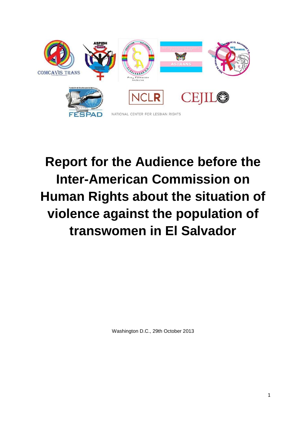

# **Report for the Audience before the Inter-American Commission on Human Rights about the situation of violence against the population of transwomen in El Salvador**

Washington D.C., 29th October 2013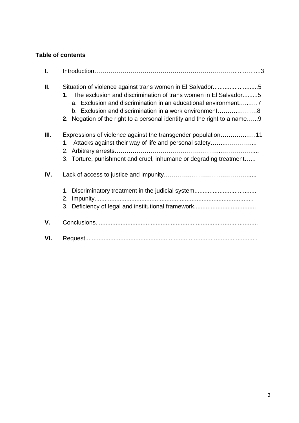# **Table of contents**

| L   |                                                                                                                                                                                                          |
|-----|----------------------------------------------------------------------------------------------------------------------------------------------------------------------------------------------------------|
| Ш.  | 1. The exclusion and discrimination of trans women in El Salvador5<br>b. Exclusion and discrimination in a work environment8<br>2. Negation of the right to a personal identity and the right to a name9 |
| Ш.  | Expressions of violence against the transgender population11<br>1. Attacks against their way of life and personal safety<br>3. Torture, punishment and cruel, inhumane or degrading treatment            |
| IV. |                                                                                                                                                                                                          |
| V.  |                                                                                                                                                                                                          |
| VI. |                                                                                                                                                                                                          |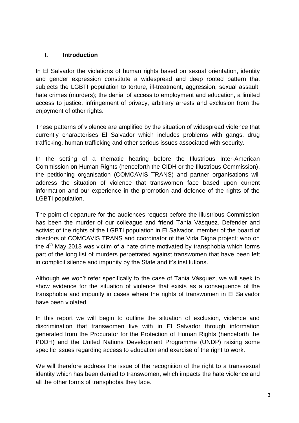## **I. Introduction**

In El Salvador the violations of human rights based on sexual orientation, identity and gender expression constitute a widespread and deep rooted pattern that subiects the LGBTI population to torture, ill-treatment, aggression, sexual assault, hate crimes (murders); the denial of access to employment and education, a limited access to justice, infringement of privacy, arbitrary arrests and exclusion from the enjoyment of other rights.

These patterns of violence are amplified by the situation of widespread violence that currently characterises El Salvador which includes problems with gangs, drug trafficking, human trafficking and other serious issues associated with security.

In the setting of a thematic hearing before the Illustrious Inter-American Commission on Human Rights (henceforth the CIDH or the Illustrious Commission), the petitioning organisation (COMCAVIS TRANS) and partner organisations will address the situation of violence that transwomen face based upon current information and our experience in the promotion and defence of the rights of the LGBTI population.

The point of departure for the audiences request before the Illustrious Commission has been the murder of our colleague and friend Tania Vásquez. Defender and activist of the rights of the LGBTI population in El Salvador, member of the board of directors of COMCAVIS TRANS and coordinator of the Vida Digna project; who on the  $4<sup>th</sup>$  May 2013 was victim of a hate crime motivated by transphobia which forms part of the long list of murders perpetrated against transwomen that have been left in complicit silence and impunity by the State and it's institutions.

Although we won't refer specifically to the case of Tania Vásquez, we will seek to show evidence for the situation of violence that exists as a consequence of the transphobia and impunity in cases where the rights of transwomen in El Salvador have been violated.

In this report we will begin to outline the situation of exclusion, violence and discrimination that transwomen live with in El Salvador through information generated from the Procurator for the Protection of Human Rights (henceforth the PDDH) and the United Nations Development Programme (UNDP) raising some specific issues regarding access to education and exercise of the right to work.

We will therefore address the issue of the recognition of the right to a transsexual identity which has been denied to transwomen, which impacts the hate violence and all the other forms of transphobia they face.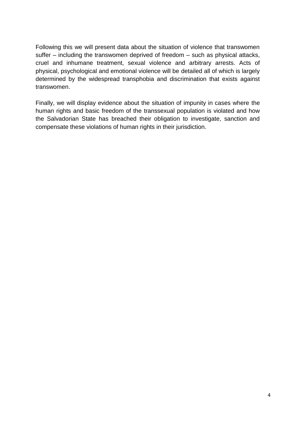Following this we will present data about the situation of violence that transwomen suffer – including the transwomen deprived of freedom – such as physical attacks, cruel and inhumane treatment, sexual violence and arbitrary arrests. Acts of physical, psychological and emotional violence will be detailed all of which is largely determined by the widespread transphobia and discrimination that exists against transwomen.

Finally, we will display evidence about the situation of impunity in cases where the human rights and basic freedom of the transsexual population is violated and how the Salvadorian State has breached their obligation to investigate, sanction and compensate these violations of human rights in their jurisdiction.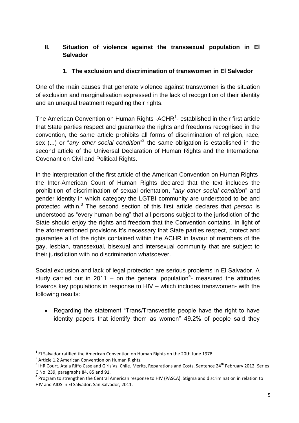# **II. Situation of violence against the transsexual population in El Salvador**

## **1. The exclusion and discrimination of transwomen in El Salvador**

One of the main causes that generate violence against transwomen is the situation of exclusion and marginalisation expressed in the lack of recognition of their identity and an unequal treatment regarding their rights.

The American Convention on Human Rights -ACHR<sup>1</sup>- established in their first article that State parties respect and guarantee the rights and freedoms recognised in the convention, the same article prohibits all forms of discrimination of religion, race, sex (...) or "any other social condition"<sup>2</sup> the same obligation is established in the second article of the Universal Declaration of Human Rights and the International Covenant on Civil and Political Rights.

In the interpretation of the first article of the American Convention on Human Rights, the Inter-American Court of Human Rights declared that the text includes the prohibition of discrimination of sexual orientation, "*any other social condition*" and gender identity in which category the LGTBI community are understood to be and protected within.<sup>3</sup> The second section of this first article declares that *person* is understood as "every human being" that all persons subject to the jurisdiction of the State should enjoy the rights and freedom that the Convention contains. In light of the aforementioned provisions it's necessary that State parties respect, protect and guarantee all of the rights contained within the ACHR in favour of members of the gay, lesbian, transsexual, bisexual and intersexual community that are subject to their jurisdiction with no discrimination whatsoever.

Social exclusion and lack of legal protection are serious problems in El Salvador. A study carried out in 2011 – on the general population<sup>4</sup>- measured the attitudes towards key populations in response to HIV – which includes transwomen- with the following results:

• Regarding the statement "Trans/Transvestite people have the right to have identity papers that identify them as women" 49.2% of people said they

 $\overline{\phantom{a}}$ 

 $^1$  El Salvador ratified the American Convention on Human Rights on the 20th June 1978.

<sup>&</sup>lt;sup>2</sup> Article 1.2 American Convention on Human Rights.

 $^3$  IHR Court. Atala Riffo Case and Girls Vs. Chile. Merits, Reparations and Costs. Sentence 24<sup>th</sup> February 2012. Series C No. 239, paragraphs 84, 85 and 91.

<sup>&</sup>lt;sup>4</sup> Program to strengthen the Central American response to HIV (PASCA). Stigma and discrimination in relation to HIV and AIDS in El Salvador, San Salvador, 2011.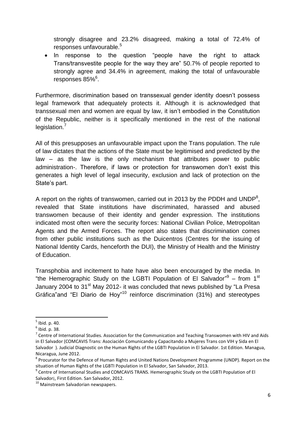strongly disagree and 23.2% disagreed, making a total of 72.4% of responses unfavourable.<sup>5</sup>

• In response to the question "people have the right to attack Trans/transvestite people for the way they are" 50.7% of people reported to strongly agree and 34.4% in agreement, making the total of unfavourable responses 85%<sup>6</sup>.

Furthermore, discrimination based on transsexual gender identity doesn't possess legal framework that adequately protects it. Although it is acknowledged that transsexual men and women are equal by law, it isn't embodied in the Constitution of the Republic, neither is it specifically mentioned in the rest of the national legislation.<sup>7</sup>

All of this presupposes an unfavourable impact upon the Trans population. The rule of law dictates that the actions of the State must be legitimised and predicted by the law – as the law is the only mechanism that attributes power to public administration-. Therefore, if laws or protection for transwomen don't exist this generates a high level of legal insecurity, exclusion and lack of protection on the State's part.

A report on the rights of transwomen, carried out in 2013 by the PDDH and UNDP<sup>8</sup>, revealed that State institutions have discriminated, harassed and abused transwomen because of their identity and gender expression. The institutions indicated most often were the security forces: National Civilian Police, Metropolitan Agents and the Armed Forces. The report also states that discrimination comes from other public institutions such as the Duicentros (Centres for the issuing of National Identity Cards, henceforth the DUI), the Ministry of Health and the Ministry of Education.

Transphobia and incitement to hate have also been encouraged by the media. In "the Hemerographic Study on the LGBTI Population of El Salvador" $9 -$  from 1<sup>st</sup> January 2004 to 31<sup>st</sup> May 2012- it was concluded that news published by "La Presa Gráfica"and "El Diario de Hoy"<sup>10</sup> reinforce discrimination (31%) and stereotypes

 5 Ibid. p. 40.

 $^6$  Ibid. p. 38.

 $^7$  Centre of International Studies. Association for the Communication and Teaching Transwomen with HIV and Aids in El Salvador (COMCAVIS Trans: Asociación Comunicando y Capacitando a Mujeres Trans con VIH y Sida en El Salvador ). Judicial Diagnostic on the Human Rights of the LGBTI Population in El Salvador. 1st Edition. Managua, Nicaragua, June 2012.

<sup>&</sup>lt;sup>8</sup> Procurator for the Defence of Human Rights and United Nations Development Programme (UNDP). Report on the situation of Human Rights of the LGBTI Population in El Salvador, San Salvador, 2013.

<sup>&</sup>lt;sup>9</sup> Centre of International Studies and COMCAVIS TRANS. Hemerographic Study on the LGBTI Population of El Salvador¡, First Edition. San Salvador, 2012.

<sup>&</sup>lt;sup>10</sup> Mainstream Salvadorian newspapers.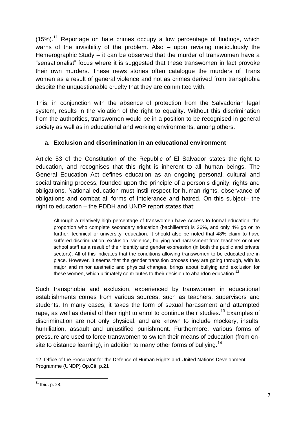$(15%)$ .<sup>11</sup> Reportage on hate crimes occupy a low percentage of findings, which warns of the invisibility of the problem. Also – upon revising meticulously the Hemerographic Study – it can be observed that the murder of transwomen have a "sensationalist" focus where it is suggested that these transwomen in fact provoke their own murders. These news stories often catalogue the murders of Trans women as a result of general violence and not as crimes derived from transphobia despite the unquestionable cruelty that they are committed with.

This, in conjunction with the absence of protection from the Salvadorian legal system, results in the violation of the right to equality. Without this discrimination from the authorities, transwomen would be in a position to be recognised in general society as well as in educational and working environments, among others.

## **a. Exclusion and discrimination in an educational environment**

Article 53 of the Constitution of the Republic of El Salvador states the right to education, and recognises that this right is inherent to all human beings. The General Education Act defines education as an ongoing personal, cultural and social training process, founded upon the principle of a person's dignity, rights and obligations. National education must instil respect for human rights, observance of obligations and combat all forms of intolerance and hatred. On this subject– the right to education – the PDDH and UNDP report states that:

Although a relatively high percentage of transwomen have Access to formal education, the proportion who complete secondary education (bachillerato) is 36%, and only 4% go on to further, technical or university, education. It should also be noted that 48% claim to have suffered discrimination. exclusion, violence, bullying and harassment from teachers or other school staff as a result of their identity and gender expression (in both the public and private sectors). All of this indicates that the conditions allowing transwomen to be educated are in place. However, it seems that the gender transition process they are going through, with its major and minor aesthetic and physical changes, brings about bullying and exclusion for these women, which ultimately contributes to their decision to abandon education.<sup>12</sup>

Such transphobia and exclusion, experienced by transwomen in educational establishments comes from various sources, such as teachers, supervisors and students. In many cases, it takes the form of sexual harassment and attempted rape, as well as denial of their right to enrol to continue their studies.<sup>13</sup> Examples of discrimination are not only physical, and are known to include mockery, insults, humiliation, assault and unjustified punishment. Furthermore, various forms of pressure are used to force transwomen to switch their means of education (from onsite to distance learning), in addition to many other forms of bullying.<sup>14</sup>

\_\_\_\_\_\_\_\_\_\_\_\_\_\_\_\_\_\_\_\_\_\_\_\_\_\_\_\_

<sup>12.</sup> Office of the Procurator for the Defence of Human Rights and United Nations Development Programme (UNDP) Op.Cit, p.21

 $\overline{\phantom{a}}$  $11$  Ibid. p. 23.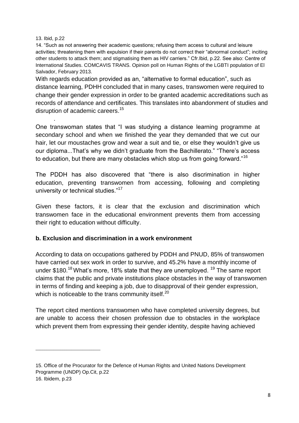13. Ibid, p.22

.

\_\_\_\_\_\_\_\_\_\_\_\_\_\_\_\_\_\_\_\_\_\_\_\_\_\_\_\_\_

14. "Such as not answering their academic questions; refusing them access to cultural and leisure activities; threatening them with expulsion if their parents do not correct their "abnormal conduct"; inciting other students to attack them; and stigmatising them as HIV carriers." Cfr.Ibid, p.22. See also: Centre of International Studies. COMCAVIS TRANS. Opinion poll on Human Rights of the LGBTI population of El Salvador, February 2013.

With regards education provided as an, "alternative to formal education", such as distance learning, PDHH concluded that in many cases, transwomen were required to change their gender expression in order to be granted academic accreditations such as records of attendance and certificates. This translates into abandonment of studies and disruption of academic careers.<sup>15</sup>

One transwoman states that "I was studying a distance learning programme at secondary school and when we finished the year they demanded that we cut our hair, let our moustaches grow and wear a suit and tie, or else they wouldn't give us our diploma...That's why we didn't graduate from the Bachillerato." "There's access to education, but there are many obstacles which stop us from going forward."<sup>16</sup>

The PDDH has also discovered that "there is also discrimination in higher education, preventing transwomen from accessing, following and completing university or technical studies."<sup>17</sup>

Given these factors, it is clear that the exclusion and discrimination which transwomen face in the educational environment prevents them from accessing their right to education without difficulty.

## **b. Exclusion and discrimination in a work environment**

According to data on occupations gathered by PDDH and PNUD, 85% of transwomen have carried out sex work in order to survive, and 45.2% have a monthly income of under \$180.<sup>18</sup> What's more, 18% state that they are unemployed. <sup>19</sup> The same report claims that the public and private institutions place obstacles in the way of transwomen in terms of finding and keeping a job, due to disapproval of their gender expression, which is noticeable to the trans community itself.<sup>20</sup>

The report cited mentions transwomen who have completed university degrees, but are unable to access their chosen profession due to obstacles in the workplace which prevent them from expressing their gender identity, despite having achieved

<sup>15.</sup> Office of the Procurator for the Defence of Human Rights and United Nations Development Programme (UNDP) Op.Cit, p.22 16. Ibidem, p.23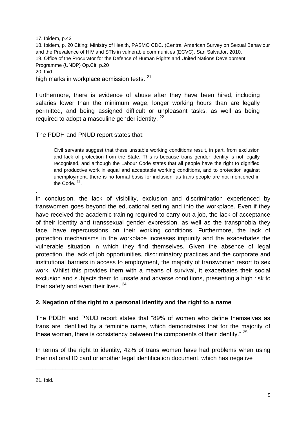17. Ibidem, p.43 18. Ibidem, p. 20 Citing: Ministry of Health, PASMO CDC. (Central American Survey on Sexual Behaviour and the Prevalence of HIV and STIs in vulnerable communities (ECVC). San Salvador, 2010. 19. Office of the Procurator for the Defence of Human Rights and United Nations Development Programme (UNDP) Op.Cit, p.20 20. Ibid high marks in workplace admission tests. <sup>21</sup>

Furthermore, there is evidence of abuse after they have been hired, including salaries lower than the minimum wage, longer working hours than are legally permitted, and being assigned difficult or unpleasant tasks, as well as being required to adopt a masculine gender identity.<sup>22</sup>

The PDDH and PNUD report states that:

Civil servants suggest that these unstable working conditions result, in part, from exclusion and lack of protection from the State. This is because trans gender identity is not legally recognised, and although the Labour Code states that all people have the right to dignified and productive work in equal and acceptable working conditions, and to protection against unemployment, there is no formal basis for inclusion, as trans people are not mentioned in the Code.  $23$ .

In conclusion, the lack of visibility, exclusion and discrimination experienced by transwomen goes beyond the educational setting and into the workplace. Even if they have received the academic training required to carry out a job, the lack of acceptance of their identity and transsexual gender expression, as well as the transphobia they face, have repercussions on their working conditions. Furthermore, the lack of protection mechanisms in the workplace increases impunity and the exacerbates the vulnerable situation in which they find themselves. Given the absence of legal protection, the lack of job opportunities, discriminatory practices and the corporate and institutional barriers in access to employment, the majority of transwomen resort to sex work. Whilst this provides them with a means of survival, it exacerbates their social exclusion and subjects them to unsafe and adverse conditions, presenting a high risk to their safety and even their lives. <sup>24</sup>

# **2. Negation of the right to a personal identity and the right to a name**

The PDDH and PNUD report states that "89% of women who define themselves as trans are identified by a feminine name, which demonstrates that for the majority of these women, there is consistency between the components of their identity." <sup>25</sup>

In terms of the right to identity, 42% of trans women have had problems when using their national ID card or another legal identification document, which has negative

\_\_\_\_\_\_\_\_\_\_\_\_\_\_\_\_\_\_\_\_\_\_\_

.

<sup>21.</sup> Ibid.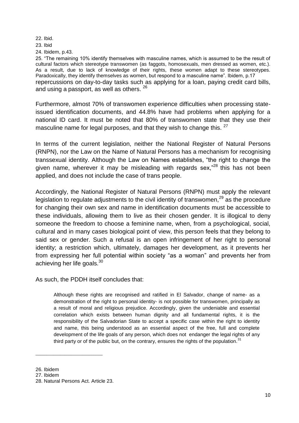22. Ibid.

23. Ibid

24. Ibidem, p.43.

25. "The remaining 10% identify themselves with masculine names, which is assumed to be the result of cultural factors which stereotype transwomen (as faggots, homosexuals, men dressed as women, etc.). As a result, due to lack of knowledge of their rights, these women adapt to these stereotypes. Paradoxically, they identify themselves as women, but respond to a masculine name". Ibidem, p.17 repercussions on day-to-day tasks such as applying for a loan, paying credit card bills, and using a passport, as well as others. <sup>26</sup>

Furthermore, almost 70% of transwomen experience difficulties when processing stateissued identification documents, and 44.8% have had problems when applying for a national ID card. It must be noted that 80% of transwomen state that they use their masculine name for legal purposes, and that they wish to change this. <sup>27</sup>

In terms of the current legislation, neither the National Register of Natural Persons (RNPN), nor the Law on the Name of Natural Persons has a mechanism for recognising transsexual identity. Although the Law on Names establishes, "the right to change the given name, wherever it may be misleading with regards sex," $28$  this has not been applied, and does not include the case of trans people.

Accordingly, the National Register of Natural Persons (RNPN) must apply the relevant legislation to regulate adjustments to the civil identity of transwomen,  $29$  as the procedure for changing their own sex and name in identification documents must be accessible to these individuals, allowing them to live as their chosen gender. It is illogical to deny someone the freedom to choose a feminine name, when, from a psychological, social, cultural and in many cases biological point of view, this person feels that they belong to said sex or gender. Such a refusal is an open infringement of her right to personal identity; a restriction which, ultimately, damages her development, as it prevents her from expressing her full potential within society "as a woman" and prevents her from achieving her life goals. $30<sup>30</sup>$ 

As such, the PDDH itself concludes that:

Although these rights are recognised and ratified in El Salvador, change of name- as a demonstration of the right to personal identity- is not possible for transwomen, principally as a result of moral and religious prejudice. Accordingly, given the undeniable and essential correlation which exists between human dignity and all fundamental rights, it is the responsibility of the Salvadorian State to accept a specific case within the right to identity and name, this being understood as an essential aspect of the free, full and complete development of the life goals of any person, which does not endanger the legal rights of any third party or of the public but, on the contrary, ensures the rights of the population.<sup>31</sup>

\_\_\_\_\_\_\_\_\_\_\_\_\_\_\_\_\_\_\_\_\_\_\_\_\_\_\_\_\_\_

<sup>26.</sup> Ibidem

<sup>27.</sup> Ibidem

<sup>28.</sup> Natural Persons Act. Article 23.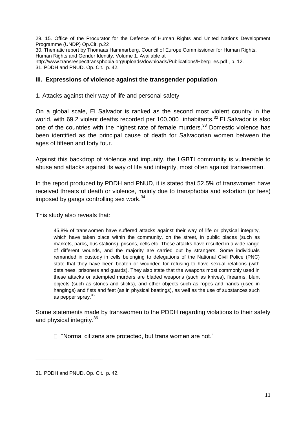29. 15. Office of the Procurator for the Defence of Human Rights and United Nations Development Programme (UNDP) Op.Cit, p.22 30. Thematic report by Thomaas Hammarberg, Council of Europe Commissioner for Human Rights. Human Rights and Gender Identity. Volume 1. Available at http://www.transrespecttransphobia.org/uploads/downloads/Publications/Hberg\_es.pdf , p. 12. 31. PDDH and PNUD. Op. Cit., p. 42.

## **III. Expressions of violence against the transgender population**

1. Attacks against their way of life and personal safety

On a global scale, El Salvador is ranked as the second most violent country in the world, with 69.2 violent deaths recorded per 100,000 inhabitants.<sup>32</sup> El Salvador is also one of the countries with the highest rate of female murders.<sup>33</sup> Domestic violence has been identified as the principal cause of death for Salvadorian women between the ages of fifteen and forty four.

Against this backdrop of violence and impunity, the LGBTI community is vulnerable to abuse and attacks against its way of life and integrity, most often against transwomen.

In the report produced by PDDH and PNUD, it is stated that 52.5% of transwomen have received threats of death or violence, mainly due to transphobia and extortion (or fees) imposed by gangs controlling sex work. $34$ 

This study also reveals that:

45.8% of transwomen have suffered attacks against their way of life or physical integrity, which have taken place within the community, on the street, in public places (such as markets, parks, bus stations), prisons, cells etc. These attacks have resulted in a wide range of different wounds, and the majority are carried out by strangers. Some individuals remanded in custody in cells belonging to delegations of the National Civil Police (PNC) state that they have been beaten or wounded for refusing to have sexual relations (with detainees, prisoners and guards). They also state that the weapons most commonly used in these attacks or attempted murders are bladed weapons (such as knives), firearms, blunt objects (such as stones and sticks), and other objects such as ropes and hands (used in hangings) and fists and feet (as in physical beatings), as well as the use of substances such as pepper spray.<sup>35</sup>

Some statements made by transwomen to the PDDH regarding violations to their safety and physical integrity.<sup>36</sup>

□ "Normal citizens are protected, but trans women are not."

\_\_\_\_\_\_\_\_\_\_\_\_\_\_\_\_\_\_\_\_\_\_\_\_\_\_\_\_\_\_

<sup>31.</sup> PDDH and PNUD. Op. Cit., p. 42.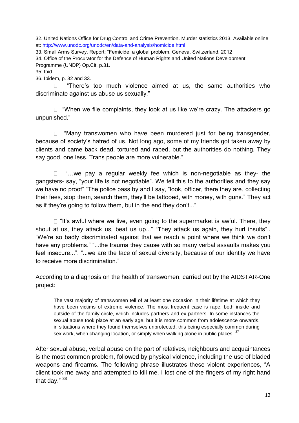32. United Nations Office for Drug Control and Crime Prevention. Murder statistics 2013. Available online at:<http://www.unodc.org/unodc/en/data-and-analysis/homicide.html>

33. Small Arms Survey. Report: "Femicide: a global problem, Geneva, Switzerland, 2012

34. Office of the Procurator for the Defence of Human Rights and United Nations Development Programme (UNDP) Op.Cit, p.31.

35: Ibid.

36. Ibidem, p. 32 and 33.

 $\Box$  "There's too much violence aimed at us, the same authorities who discriminate against us abuse us sexually."

 $\Box$  "When we file complaints, they look at us like we're crazy. The attackers go unpunished."

 $\Box$  "Many transwomen who have been murdered just for being transgender, because of society's hatred of us. Not long ago, some of my friends got taken away by clients and came back dead, tortured and raped, but the authorities do nothing. They say good, one less. Trans people are more vulnerable."

 $\Box$  "... we pay a regular weekly fee which is non-negotiable as they- the gangsters- say, "your life is not negotiable". We tell this to the authorities and they say we have no proof" "The police pass by and I say, "look, officer, there they are, collecting their fees, stop them, search them, they'll be tattooed, with money, with guns." They act as if they're going to follow them, but in the end they don't..."

 $\Box$  "It's awful where we live, even going to the supermarket is awful. There, they shout at us, they attack us, beat us up..." "They attack us again, they hurl insults".. "We're so badly discriminated against that we reach a point where we think we don't have any problems." "...the trauma they cause with so many verbal assaults makes you feel insecure...". "...we are the face of sexual diversity, because of our identity we have to receive more discrimination."

According to a diagnosis on the health of transwomen, carried out by the AIDSTAR-One project:

The vast majority of transwomen tell of at least one occasion in their lifetime at which they have been victims of extreme violence. The most frequent case is rape, both inside and outside of the family circle, which includes partners and ex partners. In some instances the sexual abuse took place at an early age, but it is more common from adolescence onwards, in situations where they found themselves unprotected, this being especially common during sex work, when changing location, or simply when walking alone in public places.  $37$ 

After sexual abuse, verbal abuse on the part of relatives, neighbours and acquaintances is the most common problem, followed by physical violence, including the use of bladed weapons and firearms. The following phrase illustrates these violent experiences, "A client took me away and attempted to kill me. I lost one of the fingers of my right hand that day." 38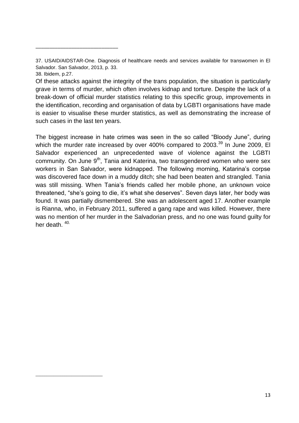\_\_\_\_\_\_\_\_\_\_\_\_\_\_\_\_\_\_\_\_\_\_\_\_\_\_\_\_\_\_

\_\_\_\_\_\_\_\_\_\_\_\_\_\_\_\_\_\_\_\_\_\_\_\_\_\_\_\_\_\_

The biggest increase in hate crimes was seen in the so called "Bloody June", during which the murder rate increased by over 400% compared to  $2003.<sup>39</sup>$  In June 2009, EI Salvador experienced an unprecedented wave of violence against the LGBTI community. On June 9<sup>th</sup>, Tania and Katerina, two transgendered women who were sex workers in San Salvador, were kidnapped. The following morning, Katarina's corpse was discovered face down in a muddy ditch; she had been beaten and strangled. Tania was still missing. When Tania's friends called her mobile phone, an unknown voice threatened, "she's going to die, it's what she deserves". Seven days later, her body was found. It was partially dismembered. She was an adolescent aged 17. Another example is Rianna, who, in February 2011, suffered a gang rape and was killed. However, there was no mention of her murder in the Salvadorian press, and no one was found guilty for her death  $40$ .

<sup>37.</sup> USAID/AIDSTAR-One. Diagnosis of healthcare needs and services available for transwomen in El Salvador. San Salvador, 2013, p. 33.

<sup>38.</sup> Ibidem, p.27.

Of these attacks against the integrity of the trans population, the situation is particularly grave in terms of murder, which often involves kidnap and torture. Despite the lack of a break-down of official murder statistics relating to this specific group, improvements in the identification, recording and organisation of data by LGBTI organisations have made is easier to visualise these murder statistics, as well as demonstrating the increase of such cases in the last ten years.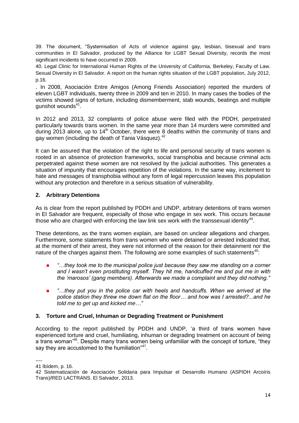39. The document, "Systemisation of Acts of violence against gay, lesbian, bisexual and trans communities in El Salvador, produced by the Alliance for LGBT Sexual Diversity, records the most significant incidents to have occurred in 2009.

40. Legal Clinic for International Human Rights of the University of California, Berkeley, Faculty of Law. Sexual Diversity in El Salvador. A report on the human rights situation of the LGBT population, July 2012, p.16.

. In 2008, Asociación Entre Amigos (Among Friends Association) reported the murders of eleven LGBT individuals, twenty three in 2009 and ten in 2010. In many cases the bodies of the victims showed signs of torture, including dismemberment, stab wounds, beatings and multiple gunshot wounds<sup>41</sup>.

In 2012 and 2013, 32 complaints of police abuse were filed with the PDDH, perpetrated particularly towards trans women. In the same year more than 14 murders were committed and during 2013 alone, up to 14<sup>th</sup> October, there were 8 deaths within the community of trans and gay women (including the death of Tania Vásquez).<sup>42</sup>

It can be assured that the violation of the right to life and personal security of trans women is rooted in an absence of protection frameworks, social transphobia and because criminal acts perpetrated against these women are not resolved by the judicial authorities. This generates a situation of impunity that encourages repetition of the violations. In the same way, incitement to hate and messages of transphobia without any form of legal repercussion leaves this population without any protection and therefore in a serious situation of vulnerability.

## **2. Arbitrary Detentions**

As is clear from the report published by PDDH and UNDP, arbitrary detentions of trans women in El Salvador are frequent, especially of those who engage in sex work. This occurs because those who are charged with enforcing the law link sex work with the transsexual identity<sup>44</sup>.

These detentions, as the trans women explain, are based on unclear allegations and charges. Furthermore, some statements from trans women who were detained or arrested indicated that, at the moment of their arrest, they were not informed of the reason for their detainment nor the nature of the charges against them. The following are some examples of such statements<sup>45</sup>:

- *"…they took me to the municipal police just because they saw me standing on a corner and I wasn't even prostituting myself. They hit me, handcuffed me and put me in with the 'marosos' (gang members). Afterwards we made a complaint and they did nothing."*
- *"…they put you in the police car with heels and handcuffs. When we arrived at the police station they threw me down flat on the floor… and how was I arrested?...and he told me to get up and kicked me…"*

#### **3. Torture and Cruel, Inhuman or Degrading Treatment or Punishment**

According to the report published by PDDH and UNDP, 'a third of trans women have experienced torture and cruel, humiliating, inhuman or degrading treatment on account of being a trans woman<sup>'46</sup>. Despite many trans women being unfamiliar with the concept of torture, "they say they are accustomed to the humiliation"<sup>47</sup>.

<sup>----</sup>

<sup>41</sup> Ibídem, p. 16.

<sup>42</sup> Sistematización de Asociación Solidaria para Impulsar el Desarrollo Humano (ASPIDH Arcoíris Trans)/RED LACTRANS. El Salvador, 2013.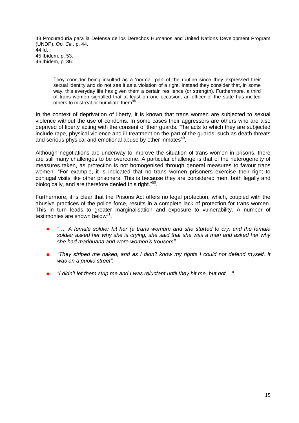43 Procuraduría para la Defensa de los Derechos Humanos and United Nations Development Program (UNDP). *Op. Cit.,* p. 44. 44 Id. 45 Ibídem, p. 53. 46 Ibídem, p. 36.

They consider being insulted as a 'normal' part of the routine since they expressed their sexual identity and do not see it as a violation of a right. Instead they consider that, in some way, this everyday life has given them a certain resilience (or strength). Furthermore, a third of trans women signalled that at least on one occasion, an officer of the state has incited others to mistreat or humiliate them<sup>48</sup>.

In the context of deprivation of liberty, it is known that trans women are subjected to sexual violence without the use of condoms. In some cases their aggressors are others who are also deprived of liberty acting with the consent of their guards. The acts to which they are subjected include rape, physical violence and ill-treatment on the part of the guards; such as death threats and serious physical and emotional abuse by other inmates<sup>49</sup>.

Although negotiations are underway to improve the situation of trans women in prisons, there are still many challenges to be overcome. A particular challenge is that of the heterogeneity of measures taken, as protection is not homogenised through general measures to favour trans women. "For example, it is indicated that no trans women prisoners exercise their right to conjugal visits like other prisoners. This is because they are considered men, both legally and biologically, and are therefore denied this right."<sup>50</sup>.

Furthermore, it is clear that the Prisons Act offers no legal protection, which, coupled with the abusive practices of the police force, results in a complete lack of protection for trans women. This in turn leads to greater marginalisation and exposure to vulnerability. A number of testimonies are shown below<sup>51</sup>.

- *"…. A female soldier hit her (a trans woman) and she started to cry, and the female soldier asked her why she is crying, she said that she was a man and asked her why she had marihuana and wore women's trousers".*
- *"They striped me naked, and as I didn't know my rights I could not defend myself. It was on a public street".*
- *"I didn't let them strip me and I was reluctant until they hit me, but not ..."*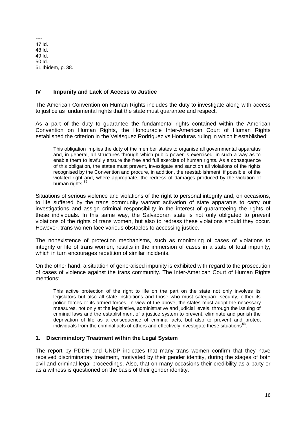---- 47 Id. 48 Id. 49 Id. 50 Id. 51 Ibídem, p. 38.

### **IV Impunity and Lack of Access to Justice**

The American Convention on Human Rights includes the duty to investigate along with access to justice as fundamental rights that the state must guarantee and respect.

As a part of the duty to guarantee the fundamental rights contained within the American Convention on Human Rights, the Honourable Inter-American Court of Human Rights established the criterion in the Velásquez Rodríguez vs Honduras ruling in which it established:

This obligation implies the duty of the member states to organise all governmental apparatus and, in general, all structures through which public power is exercised, in such a way as to enable them to lawfully ensure the free and full exercise of human rights. As a consequence of this obligation, the states must prevent, investigate and sanction all violations of the rights recognised by the Convention and procure, in addition, the reestablishment, if possible, of the violated right and, where appropriate, the redress of damages produced by the violation of human rights <sup>52</sup>.

Situations of serious violence and violations of the right to personal integrity and, on occasions, to life suffered by the trans community warrant activation of state apparatus to carry out investigations and assign criminal responsibility in the interest of guaranteeing the rights of these individuals. In this same way, the Salvadoran state is not only obligated to prevent violations of the rights of trans women, but also to redress these violations should they occur. However, trans women face various obstacles to accessing justice.

The nonexistence of protection mechanisms, such as monitoring of cases of violations to integrity or life of trans women, results in the immersion of cases in a state of total impunity, which in turn encourages repetition of similar incidents.

On the other hand, a situation of generalised impunity is exhibited with regard to the prosecution of cases of violence against the trans community. The Inter-American Court of Human Rights mentions:

This active protection of the right to life on the part on the state not only involves its legislators but also all state institutions and those who must safeguard security, either its police forces or its armed forces. In view of the above, the states must adopt the necessary measures, not only at the legislative, administrative and judicial levels, through the issuing of criminal laws and the establishment of a justice system to prevent, eliminate and punish the deprivation of life as a consequence of criminal acts, but also to prevent and protect individuals from the criminal acts of others and effectively investigate these situations<sup>53</sup>.

#### **1. Discriminatory Treatment within the Legal System**

The report by PDDH and UNDP indicates that many trans women confirm that they have received discriminatory treatment, motivated by their gender identity, during the stages of both civil and criminal legal proceedings. Also, that on many occasions their credibility as a party or as a witness is questioned on the basis of their gender identity.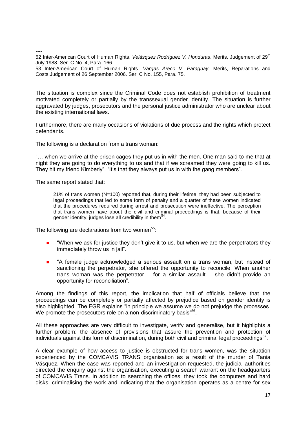----

52 Inter-American Court of Human Rights. *Velásquez Rodríguez V. Honduras*. Merits. Judgement of 29<sup>th</sup> July 1988. Ser. C No. 4, Para. 166.

53 Inter-American Court of Human Rights. *Vargas Areco V. Paraguay*. Merits, Reparations and Costs.Judgement of 26 September 2006. Ser. C No. 155, Para. 75.

The situation is complex since the Criminal Code does not establish prohibition of treatment motivated completely or partially by the transsexual gender identity. The situation is further aggravated by judges, prosecutors and the personal justice administrator who are unclear about the existing international laws.

Furthermore, there are many occasions of violations of due process and the rights which protect defendants.

The following is a declaration from a trans woman:

"… when we arrive at the prison cages they put us in with the men. One man said to me that at night they are going to do everything to us and that if we screamed they were going to kill us. They hit my friend Kimberly". "It's that they always put us in with the gang members".

The same report stated that:

21% of trans women (N=100) reported that, during their lifetime, they had been subjected to legal proceedings that led to some form of penalty and a quarter of these women indicated that the procedures required during arrest and prosecution were ineffective. The perception that trans women have about the civil and criminal proceedings is that, because of their gender identity, judges lose all credibility in them<sup>54</sup>.

The following are declarations from two women<sup>55</sup>:

- "When we ask for justice they don't give it to us, but when we are the perpetrators they immediately throw us in jail".
- "A female judge acknowledged a serious assault on a trans woman, but instead of sanctioning the perpetrator, she offered the opportunity to reconcile. When another trans woman was the perpetrator – for a similar assault – she didn't provide an opportunity for reconciliation".

Among the findings of this report, the implication that half of officials believe that the proceedings can be completely or partially affected by prejudice based on gender identity is also highlighted. The FGR explains "in principle we assume we do not prejudge the processes. We promote the prosecutors role on a non-discriminatory basis"<sup>56</sup>.

All these approaches are very difficult to investigate, verify and generalise, but it highlights a further problem: the absence of provisions that assure the prevention and protection of individuals against this form of discrimination, during both civil and criminal legal proceedings<sup>57</sup>.

A clear example of how access to justice is obstructed for trans women, was the situation experienced by the COMCAVIS TRANS organisation as a result of the murder of Tania Vásquez. When the case was reported and an investigation requested, the judicial authorities directed the enquiry against the organisation, executing a search warrant on the headquarters of COMCAVIS Trans. In addition to searching the offices, they took the computers and hard disks, criminalising the work and indicating that the organisation operates as a centre for sex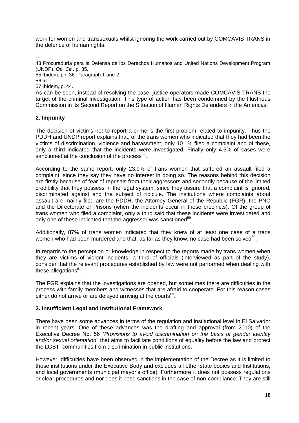work for women and transsexuals whilst ignoring the work carried out by COMCAVIS TRANS in the defence of human rights.

----

43 Procuraduría para la Defensa de los Derechos Humanos and United Nations Development Program (UNDP). *Op. Cit.,* p. 35.

55 Ibídem, pp. 36. Paragraph 1 and 2

56 Id.

57 Ibídem, p. 44.

As can be seen, instead of resolving the case, justice operators made COMCAVIS TRANS the target of the criminal investigation. This type of action has been condemned by the Illustrious Commission in its Second Report on the Situation of Human Rights Defenders in the Americas.

#### **2. Impunity**

The decision of victims not to report a crime is the first problem related to impunity. Thus the PDDH and UNDP report explains that, of the trans women who indicated that they had been the victims of discrimination, violence and harassment, only 10.1% filed a complaint and of these, only a third indicated that the incidents were investigated. Finally only 4.5% of cases were sanctioned at the conclusion of the process<sup>58</sup>.

According to the same report, only 23.9% of trans women that suffered an assault filed a complaint, since they say they have no interest in doing so. The reasons behind this decision are firstly because of fear of reprisals from their aggressors and secondly because of the limited credibility that they possess in the legal system, since they assure that a complaint is ignored, discriminated against and the subject of ridicule. The institutions where complaints about assault are mainly filed are the PDDH, the Attorney General of the Republic (FGR), the PNC and the Directorate of Prisons (when the incidents occur in these precincts). Of the group of trans women who filed a complaint, only a third said that these incidents were investigated and only one of these indicated that the aggressor was sanctioned<sup>59</sup>.

Additionally, 87% of trans women indicated that they knew of at least one case of a trans women who had been murdered and that, as far as they know, no case had been solved $^{60}$ .

In regards to the perception or knowledge in respect to the reports made by trans women when they are victims of violent incidents, a third of officials (interviewed as part of the study), consider that the relevant procedures established by law were not performed when dealing with these allegations<sup>61</sup>.

The FGR explains that the investigations are opened, but sometimes there are difficulties in the process with family members and witnesses that are afraid to cooperate. For this reason cases either do not arrive or are delayed arriving at the courts $^{62}$ .

#### **3. Insufficient Legal and Institutional Framework**

There have been some advances in terms of the regulation and institutional level in El Salvador in recent years. One of these advances was the drafting and approval (from 2010) of the Executive Decree No. 56 "*Provisions to avoid discrimination on the basis of gender identity and/or sexual orientation*" that aims to facilitate conditions of equality before the law and protect the LGBTI communities from discrimination in public institutions.

However, difficulties have been observed in the implementation of the Decree as it is limited to those institutions under the Executive Body and excludes all other state bodies and Institutions, and local governments (municipal mayor's office). Furthermore it does not possess regulations or clear procedures and nor does it pose sanctions in the case of non-compliance. They are still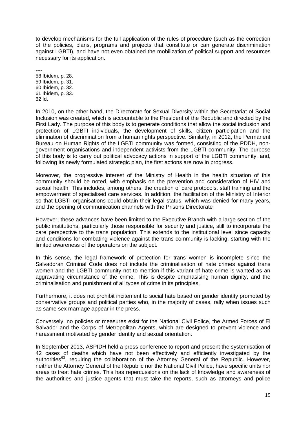to develop mechanisms for the full application of the rules of procedure (such as the correction of the policies, plans, programs and projects that constitute or can generate discrimination against LGBTI), and have not even obtained the mobilization of political support and resources necessary for its application.

---- 58 Ibídem, p. 28. 59 Ibídem, p. 31. 60 Ibídem, p. 32. 61 Ibídem, p. 33. 62 Id.

In 2010, on the other hand, the Directorate for Sexual Diversity within the Secretariat of Social Inclusion was created, which is accountable to the President of the Republic and directed by the First Lady. The purpose of this body is to generate conditions that allow the social inclusion and protection of LGBTI individuals, the development of skills, citizen participation and the elimination of discrimination from a human rights perspective. Similarly, in 2012, the Permanent Bureau on Human Rights of the LGBTI community was formed, consisting of the PDDH, nongovernment organisations and independent activists from the LGBTI community. The purpose of this body is to carry out political advocacy actions in support of the LGBTI community, and, following its newly formulated strategic plan, the first actions are now in progress.

Moreover, the progressive interest of the Ministry of Health in the health situation of this community should be noted, with emphasis on the prevention and consideration of HIV and sexual health. This includes, among others, the creation of care protocols, staff training and the empowerment of specialised care services. In addition, the facilitation of the Ministry of Interior so that LGBTI organisations could obtain their legal status, which was denied for many years, and the opening of communication channels with the Prisons Directorate

However, these advances have been limited to the Executive Branch with a large section of the public institutions, particularly those responsible for security and justice, still to incorporate the care perspective to the trans population. This extends to the institutional level since capacity and conditions for combating violence against the trans community is lacking, starting with the limited awareness of the operators on the subject.

In this sense, the legal framework of protection for trans women is incomplete since the Salvadoran Criminal Code does not include the criminalisation of hate crimes against trans women and the LGBTI community not to mention if this variant of hate crime is wanted as an aggravating circumstance of the crime. This is despite emphasising human dignity, and the criminalisation and punishment of all types of crime in its principles.

Furthermore, it does not prohibit incitement to social hate based on gender identity promoted by conservative groups and political parties who, in the majority of cases, rally when issues such as same sex marriage appear in the press.

Conversely, no policies or measures exist for the National Civil Police, the Armed Forces of El Salvador and the Corps of Metropolitan Agents, which are designed to prevent violence and harassment motivated by gender identity and sexual orientation.

In September 2013, ASPIDH held a press conference to report and present the systemisation of 42 cases of deaths which have not been effectively and efficiently investigated by the authorities<sup>63</sup>, requiring the collaboration of the Attorney General of the Republic. However, neither the Attorney General of the Republic nor the National Civil Police, have specific units nor areas to treat hate crimes. This has repercussions on the lack of knowledge and awareness of the authorities and justice agents that must take the reports, such as attorneys and police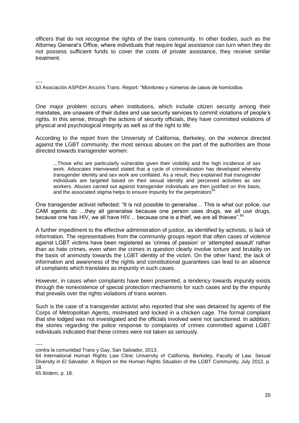officers that do not recognise the rights of the trans community. In other bodies, such as the Attorney General's Office, where individuals that require legal assistance can turn when they do not possess sufficient funds to cover the costs of private assistance, they receive similar treatment.

----

63 Asociación ASPIDH Arcoíris Trans. Report: "Monitoreo y números de casos de homicidios

One major problem occurs when institutions, which include citizen security among their mandates, are unaware of their duties and use security services to commit violations of people's rights. In this sense, through the actions of security officials, they have committed violations of physical and psychological integrity as well as of the right to life.

According to the report from the University of California, Berkeley, on the violence directed against the LGBT community, the most serious abuses on the part of the authorities are those directed towards transgender women:

...Those who are particularly vulnerable given their visibility and the high incidence of sex work. Advocates interviewed stated that a cycle of criminalization has developed whereby transgender identity and sex work are conflated. As a result, they explained that transgender individuals are targeted based on their sexual identity and perceived activities as sex workers. Abuses carried out against transgender individuals are then justified on this basis, and the associated stigma helps to ensure impunity for the perpetrators $64$ .

One transgender activist reflected: "It is not possible to generalise… This is what our police, our CAM agents do …they all generalise because one person uses drugs, we all use drugs, because one has HIV, we all have HIV... because one is a thief, we are all thieves".<sup>65</sup>

A further impediment to the effective administration of justice, as identified by activists, is lack of information. The representatives from the community groups report that often cases of violence against LGBT victims have been registered as 'crimes of passion' or 'attempted assault' rather than as hate crimes, even when the crimes in question clearly involve torture and brutality on the basis of animosity towards the LGBT identity of the victim. On the other hand, the lack of information and awareness of the rights and constitutional guarantees can lead to an absence of complaints which translates as impunity in such cases.

However, in cases when complaints have been presented, a tendency towards impunity exists through the nonexistence of special protection mechanisms for such cases and by the impunity that prevails over the rights violations of trans women.

Such is the case of a transgender activist who reported that she was detained by agents of the Corps of Metropolitan Agents, mistreated and locked in a chicken cage. The formal complaint that she lodged was not investigated and the officials involved were not sanctioned. In addition, the stories regarding the police response to complaints of crimes committed against LGBT individuals indicated that these crimes were not taken as seriously.

----

contra la comunidad Trans y Gay, San Salvador, 2013.

64 International Human Rights Law Clinic University of California, Berkeley, Faculty of Law. Sexual Diversity in El Salvador. A Report on the Human Rights Situation of the LGBT Community, July 2012, p. 18.

65 Ibídem, p. 18.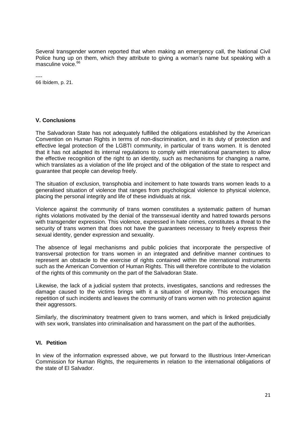Several transgender women reported that when making an emergency call, the National Civil Police hung up on them, which they attribute to giving a woman's name but speaking with a masculine voice.<sup>66</sup>

---- 66 Ibídem, p. 21.

#### **V. Conclusions**

The Salvadoran State has not adequately fulfilled the obligations established by the American Convention on Human Rights in terms of non-discrimination, and in its duty of protection and effective legal protection of the LGBTI community, in particular of trans women. It is denoted that it has not adapted its internal regulations to comply with international parameters to allow the effective recognition of the right to an identity, such as mechanisms for changing a name, which translates as a violation of the life project and of the obligation of the state to respect and guarantee that people can develop freely.

The situation of exclusion, transphobia and incitement to hate towards trans women leads to a generalised situation of violence that ranges from psychological violence to physical violence, placing the personal integrity and life of these individuals at risk.

Violence against the community of trans women constitutes a systematic pattern of human rights violations motivated by the denial of the transsexual identity and hatred towards persons with transgender expression. This violence, expressed in hate crimes, constitutes a threat to the security of trans women that does not have the guarantees necessary to freely express their sexual identity, gender expression and sexuality.

The absence of legal mechanisms and public policies that incorporate the perspective of transversal protection for trans women in an integrated and definitive manner continues to represent an obstacle to the exercise of rights contained within the international instruments such as the American Convention of Human Rights. This will therefore contribute to the violation of the rights of this community on the part of the Salvadoran State.

Likewise, the lack of a judicial system that protects, investigates, sanctions and redresses the damage caused to the victims brings with it a situation of impunity. This encourages the repetition of such incidents and leaves the community of trans women with no protection against their aggressors.

Similarly, the discriminatory treatment given to trans women, and which is linked prejudicially with sex work, translates into criminalisation and harassment on the part of the authorities.

#### **VI. Petition**

In view of the information expressed above, we put forward to the Illustrious Inter-American Commission for Human Rights, the requirements in relation to the international obligations of the state of El Salvador.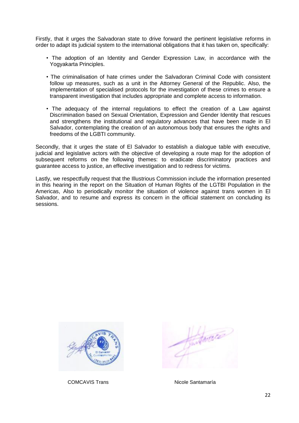Firstly, that it urges the Salvadoran state to drive forward the pertinent legislative reforms in order to adapt its judicial system to the international obligations that it has taken on, specifically:

- The adoption of an Identity and Gender Expression Law, in accordance with the Yogyakarta Principles.
- The criminalisation of hate crimes under the Salvadoran Criminal Code with consistent follow up measures, such as a unit in the Attorney General of the Republic. Also, the implementation of specialised protocols for the investigation of these crimes to ensure a transparent investigation that includes appropriate and complete access to information.
- The adequacy of the internal regulations to effect the creation of a Law against Discrimination based on Sexual Orientation, Expression and Gender Identity that rescues and strengthens the institutional and regulatory advances that have been made in El Salvador, contemplating the creation of an autonomous body that ensures the rights and freedoms of the LGBTI community.

Secondly, that it urges the state of El Salvador to establish a dialogue table with executive, judicial and legislative actors with the objective of developing a route map for the adoption of subsequent reforms on the following themes: to eradicate discriminatory practices and guarantee access to justice, an effective investigation and to redress for victims.

Lastly, we respectfully request that the Illustrious Commission include the information presented in this hearing in the report on the Situation of Human Rights of the LGTBI Population in the Americas, Also to periodically monitor the situation of violence against trans women in El Salvador, and to resume and express its concern in the official statement on concluding its sessions.



COMCAVIS Trans Nicole Santamaría

Antarce